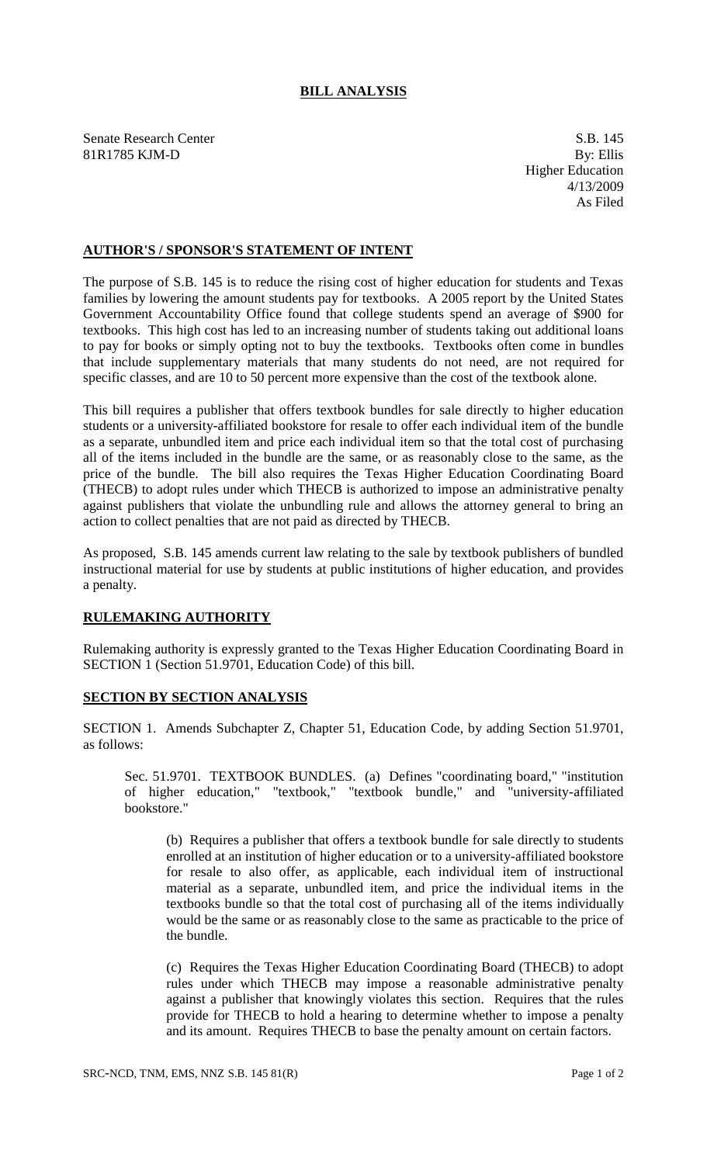## **BILL ANALYSIS**

Senate Research Center S.B. 145 81R1785 KJM-D By: Ellis

Higher Education 4/13/2009 As Filed

## **AUTHOR'S / SPONSOR'S STATEMENT OF INTENT**

The purpose of S.B. 145 is to reduce the rising cost of higher education for students and Texas families by lowering the amount students pay for textbooks. A 2005 report by the United States Government Accountability Office found that college students spend an average of \$900 for textbooks. This high cost has led to an increasing number of students taking out additional loans to pay for books or simply opting not to buy the textbooks. Textbooks often come in bundles that include supplementary materials that many students do not need, are not required for specific classes, and are 10 to 50 percent more expensive than the cost of the textbook alone.

This bill requires a publisher that offers textbook bundles for sale directly to higher education students or a university-affiliated bookstore for resale to offer each individual item of the bundle as a separate, unbundled item and price each individual item so that the total cost of purchasing all of the items included in the bundle are the same, or as reasonably close to the same, as the price of the bundle. The bill also requires the Texas Higher Education Coordinating Board (THECB) to adopt rules under which THECB is authorized to impose an administrative penalty against publishers that violate the unbundling rule and allows the attorney general to bring an action to collect penalties that are not paid as directed by THECB.

As proposed, S.B. 145 amends current law relating to the sale by textbook publishers of bundled instructional material for use by students at public institutions of higher education, and provides a penalty.

## **RULEMAKING AUTHORITY**

Rulemaking authority is expressly granted to the Texas Higher Education Coordinating Board in SECTION 1 (Section 51.9701, Education Code) of this bill.

## **SECTION BY SECTION ANALYSIS**

SECTION 1. Amends Subchapter Z, Chapter 51, Education Code, by adding Section 51.9701, as follows:

Sec. 51.9701. TEXTBOOK BUNDLES. (a) Defines "coordinating board," "institution of higher education," "textbook," "textbook bundle," and "university-affiliated bookstore."

(b) Requires a publisher that offers a textbook bundle for sale directly to students enrolled at an institution of higher education or to a university-affiliated bookstore for resale to also offer, as applicable, each individual item of instructional material as a separate, unbundled item, and price the individual items in the textbooks bundle so that the total cost of purchasing all of the items individually would be the same or as reasonably close to the same as practicable to the price of the bundle.

(c) Requires the Texas Higher Education Coordinating Board (THECB) to adopt rules under which THECB may impose a reasonable administrative penalty against a publisher that knowingly violates this section. Requires that the rules provide for THECB to hold a hearing to determine whether to impose a penalty and its amount. Requires THECB to base the penalty amount on certain factors.